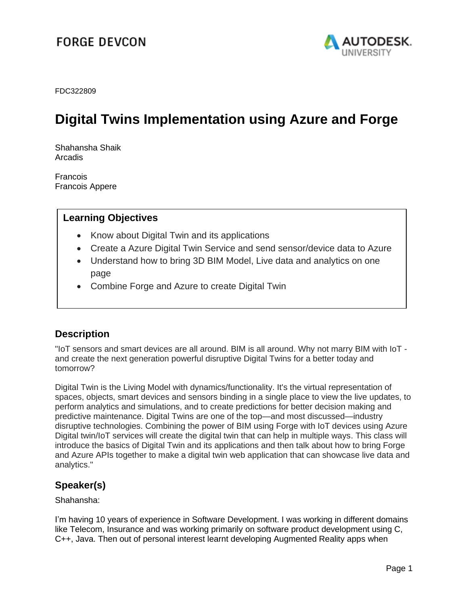## **FORGE DEVCON**



FDC322809

# **Digital Twins Implementation using Azure and Forge**

Shahansha Shaik Arcadis

**Francois** Francois Appere

### **Learning Objectives**

- Know about Digital Twin and its applications
- Create a Azure Digital Twin Service and send sensor/device data to Azure
- Understand how to bring 3D BIM Model, Live data and analytics on one page
- Combine Forge and Azure to create Digital Twin

### **Description**

"IoT sensors and smart devices are all around. BIM is all around. Why not marry BIM with IoT and create the next generation powerful disruptive Digital Twins for a better today and tomorrow?

Digital Twin is the Living Model with dynamics/functionality. It's the virtual representation of spaces, objects, smart devices and sensors binding in a single place to view the live updates, to perform analytics and simulations, and to create predictions for better decision making and predictive maintenance. Digital Twins are one of the top—and most discussed—industry disruptive technologies. Combining the power of BIM using Forge with IoT devices using Azure Digital twin/IoT services will create the digital twin that can help in multiple ways. This class will introduce the basics of Digital Twin and its applications and then talk about how to bring Forge and Azure APIs together to make a digital twin web application that can showcase live data and analytics."

### **Speaker(s)**

Shahansha:

I'm having 10 years of experience in Software Development. I was working in different domains like Telecom, Insurance and was working primarily on software product development using C, C++, Java. Then out of personal interest learnt developing Augmented Reality apps when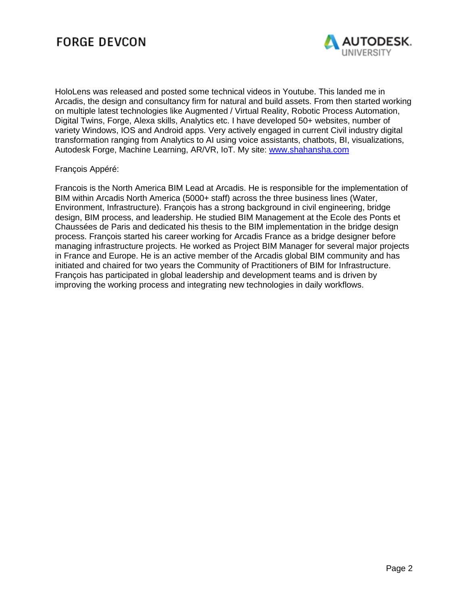

HoloLens was released and posted some technical videos in Youtube. This landed me in Arcadis, the design and consultancy firm for natural and build assets. From then started working on multiple latest technologies like Augmented / Virtual Reality, Robotic Process Automation, Digital Twins, Forge, Alexa skills, Analytics etc. I have developed 50+ websites, number of variety Windows, IOS and Android apps. Very actively engaged in current Civil industry digital transformation ranging from Analytics to AI using voice assistants, chatbots, BI, visualizations, Autodesk Forge, Machine Learning, AR/VR, IoT. My site: [www.shahansha.com](http://www.shahansha.com/)

#### François Appéré:

Francois is the North America BIM Lead at Arcadis. He is responsible for the implementation of BIM within Arcadis North America (5000+ staff) across the three business lines (Water, Environment, Infrastructure). François has a strong background in civil engineering, bridge design, BIM process, and leadership. He studied BIM Management at the Ecole des Ponts et Chaussées de Paris and dedicated his thesis to the BIM implementation in the bridge design process. François started his career working for Arcadis France as a bridge designer before managing infrastructure projects. He worked as Project BIM Manager for several major projects in France and Europe. He is an active member of the Arcadis global BIM community and has initiated and chaired for two years the Community of Practitioners of BIM for Infrastructure. François has participated in global leadership and development teams and is driven by improving the working process and integrating new technologies in daily workflows.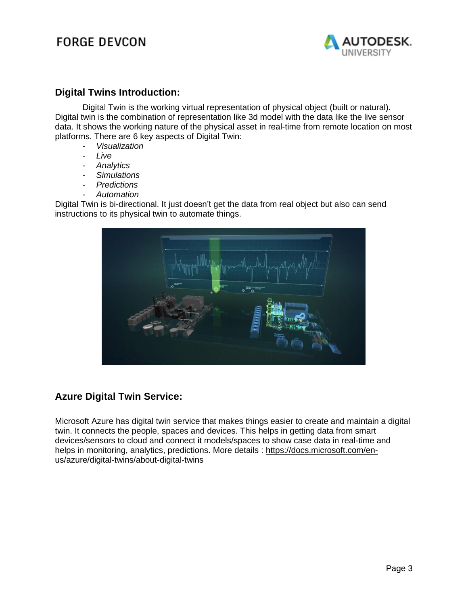### **FORGE DEVCON**



#### **Digital Twins Introduction:**

Digital Twin is the working virtual representation of physical object (built or natural). Digital twin is the combination of representation like 3d model with the data like the live sensor data. It shows the working nature of the physical asset in real-time from remote location on most platforms. There are 6 key aspects of Digital Twin:

- *Visualization*
- *Live*
- *Analytics*
- *Simulations*
- *Predictions*
- *Automation*

Digital Twin is bi-directional. It just doesn't get the data from real object but also can send instructions to its physical twin to automate things.



### **Azure Digital Twin Service:**

Microsoft Azure has digital twin service that makes things easier to create and maintain a digital twin. It connects the people, spaces and devices. This helps in getting data from smart devices/sensors to cloud and connect it models/spaces to show case data in real-time and helps in monitoring, analytics, predictions. More details : [https://docs.microsoft.com/en](https://docs.microsoft.com/en-us/azure/digital-twins/about-digital-twins)[us/azure/digital-twins/about-digital-twins](https://docs.microsoft.com/en-us/azure/digital-twins/about-digital-twins)